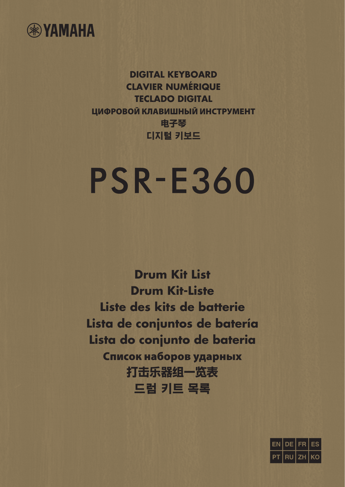

**DIGITAL KEYBOARD CLAVIER NUMÉRIQUE TECLADO DIGITAL ЦИФРОВОЙ КЛАВИШНЫЙ ИНСТРУМЕНТ** 电子琴 디지털 키보드

## **PSR-E360**

**Drum Kit List Drum Kit-Liste Liste des kits de batterie Lista de conjuntos de batería Lista do conjunto de bateria Список наборов ударных** 打击乐器组一览表 드럼 키트 목록

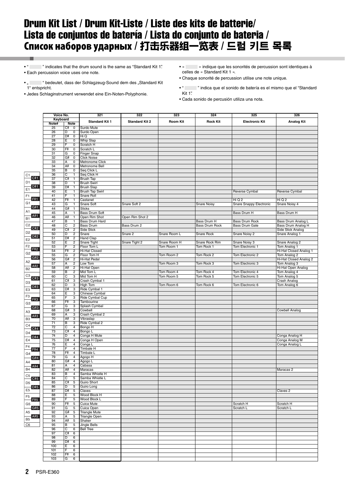## Drum Kit List / Drum Kit-Liste / Liste des kits de batterie/ Lista de conjuntos de batería / Lista do conjunto de bateria / Список наборов ударных / 打击乐器组一览表 / 드럼 키트 목록

• " " indicates that the drum sound is the same as "Standard Kit 1". • Each percussion voice uses one note.

• " " " bedeutet, dass der Schlagzeug-Sound dem des "Standard Kit 1" entspricht.

• Jedes Schlaginstrument verwendet eine Ein-Noten-Polyphonie.

- « » indique que les sonorités de percussion sont identiques à celles de « Standard Kit 1 ».
- Chaque sonorité de percussion utilise une note unique.
- " " indica que el sonido de batería es el mismo que el "Standard Kit 1".
- Cada sonido de percusión utiliza una nota.

|                          | Voice No.<br>Keyboard |                                    | 321                      | 322                   | 323          | 324             | 325                     | 326                              |
|--------------------------|-----------------------|------------------------------------|--------------------------|-----------------------|--------------|-----------------|-------------------------|----------------------------------|
|                          |                       |                                    |                          |                       |              |                 |                         |                                  |
|                          | Note#                 | Note                               | <b>Standard Kit 1</b>    | <b>Standard Kit 2</b> | Room Kit     | <b>Rock Kit</b> | <b>Electronic Kit</b>   | <b>Analog Kit</b>                |
|                          | 25                    | C#<br>0                            | Surdo Mute               |                       |              |                 |                         |                                  |
|                          | 26                    | D<br>0                             | Surdo Open               |                       |              |                 |                         |                                  |
|                          | 27                    | D#<br>$\pmb{0}$                    | Hi Q                     |                       |              |                 |                         |                                  |
|                          | 28                    | Ε<br>0                             | <b>Whip Slap</b>         |                       |              |                 |                         |                                  |
|                          | 29                    | F<br>0                             | Scratch H                |                       |              |                 |                         |                                  |
|                          | 30                    | F#<br>0                            | Scratch L                |                       |              |                 |                         |                                  |
|                          | 31                    | G<br>0                             | Finger Snap              |                       |              |                 |                         |                                  |
|                          | 32                    | G#<br>0                            | Click Noise              |                       |              |                 |                         |                                  |
|                          | 33                    | А<br>0                             | Metronome Click          |                       |              |                 |                         |                                  |
|                          | 34                    | A#<br>0                            | Metronome Bell           |                       |              |                 |                         |                                  |
|                          | 35                    | В<br>0                             | Seq Click L              |                       |              |                 |                         |                                  |
| C <sub>1</sub>           | 36                    | $\overline{C}$<br>1                | Seq Click H              |                       |              |                 |                         |                                  |
| C#1                      | 37                    | C#<br>$\mathbf{1}$                 | <b>Brush Tap</b>         |                       |              |                 |                         |                                  |
| D <sub>1</sub>           | 38                    | D<br>1                             | <b>Brush Swirl</b>       |                       |              |                 |                         |                                  |
| D#1<br>E <sub>1</sub>    | 39                    | D#<br>$\mathbf{1}$                 | <b>Brush Slap</b>        |                       |              |                 |                         |                                  |
|                          | 40                    | Ε<br>1                             | <b>Brush Tap Swirl</b>   |                       |              |                 | Reverse Cymbal          | Reverse Cymbal                   |
| F <sub>1</sub><br>$-F#1$ | 41                    | F<br>1                             | Snare Roll               |                       |              |                 |                         |                                  |
| G <sub>1</sub>           | 42                    | F#<br>1                            | Castanet                 |                       |              |                 | Hi Q 2                  | Hi Q 2                           |
| G#1                      | 43                    | G<br>1                             | Snare Soft               | Snare Soft 2          |              | Snare Noisy     | Snare Snappy Electronic | Snare Noisy 4                    |
| A <sub>1</sub>           | 44                    | G#<br>$\mathbf{1}$                 | Sticks                   |                       |              |                 |                         |                                  |
| A#1                      | 45                    | А<br>1                             | Bass Drum Soft           |                       |              |                 | Bass Drum H             | Bass Drum H                      |
| B <sub>1</sub>           | 46                    | A#<br>$\mathbf{1}$                 | Open Rim Shot            | Open Rim Shot 2       |              |                 |                         |                                  |
|                          | 47                    | B<br>1                             | Bass Drum Hard           |                       |              | Bass Drum H     | Bass Drum Rock          | Bass Drum Analog L               |
| C <sub>2</sub><br>C#2    | 48                    | C<br>$\overline{\mathbf{c}}$       | Bass Drum                | Bass Drum 2           |              | Bass Drum Rock  | Bass Drum Gate          | Bass Drum Analog H               |
| D <sub>2</sub>           | 49                    | C#<br>$\overline{\mathbf{c}}$      | Side Stick               |                       |              |                 |                         | Side Stick Analog                |
| D#2                      | 50                    | D<br>$\overline{\mathbf{c}}$<br>D# | Snare                    | Snare 2               | Snare Room L | Snare Rock      | Snare Noisy 2           | Snare Analog 1                   |
| E <sub>2</sub>           | 51<br>52              | 2<br>Ε<br>2                        | Hand Clap<br>Snare Tight | Snare Tight 2         | Snare Room H | Snare Rock Rim  | Snare Noisy 3           | Snare Analog 2                   |
| F <sub>2</sub>           | 53                    | F<br>2                             | Floor Tom L              |                       | Tom Room 1   | Tom Rock 1      | <b>Tom Electronic 1</b> | Tom Analog 1                     |
| F#2                      | 54                    | F#<br>$\overline{2}$               | Hi-Hat Closed            |                       |              |                 |                         | Hi-Hat Closed Analog 1           |
| G <sub>2</sub>           | 55                    | G<br>2                             | Floor Tom H              |                       | Tom Room 2   | Tom Rock 2      | Tom Electronic 2        | Tom Analog 2                     |
| G#2                      | 56                    | G#<br>$\sqrt{2}$                   | Hi-Hat Pedal             |                       |              |                 |                         | Hi-Hat Closed Analog 2           |
| A <sub>2</sub>           | 57                    | A<br>2                             | Low Tom                  |                       | Tom Room 3   | Tom Rock 3      | Tom Electronic 3        | Tom Analog 3                     |
| A#2<br>B <sub>2</sub>    | 58                    | A#<br>$\overline{\mathbf{c}}$      | Hi-Hat Open              |                       |              |                 |                         | Hi-Hat Open Analog               |
|                          | 59                    | В<br>$\overline{\mathbf{c}}$       | Mid Tom L                |                       | Tom Room 4   | Tom Rock 4      | Tom Electronic 4        | Tom Analog 4                     |
| C <sub>3</sub>           | 60                    | $\overline{\mathsf{c}}$<br>3       | Mid Tom H                |                       | Tom Room 5   | Tom Rock 5      | Tom Electronic 5        | Tom Analog 5                     |
| C#3                      | 61                    | C#<br>3                            | Crash Cymbal 1           |                       |              |                 |                         | Crash Analog                     |
| D <sub>3</sub>           | 62                    | D<br>3                             | High Tom                 |                       | Tom Room 6   | Tom Rock 6      | Tom Electronic 6        | Tom Analog 6                     |
| D#3<br>E <sub>3</sub>    | 63                    | 3<br>D#                            | Ride Cymbal 1            |                       |              |                 |                         |                                  |
|                          | 64                    | Ε<br>3                             | Chinese Cymbal           |                       |              |                 |                         |                                  |
| F <sub>3</sub><br>F#3    | 65                    | F<br>3                             | Ride Cymbal Cup          |                       |              |                 |                         |                                  |
| G <sub>3</sub>           | 66                    | F#<br>3                            | Tambourine               |                       |              |                 |                         |                                  |
| G#3                      | 67                    | G<br>3                             | Splash Cymbal            |                       |              |                 |                         |                                  |
| A3                       | 68                    | G#<br>3                            | Cowbell                  |                       |              |                 |                         | Cowbell Analog                   |
| A#3                      | 69                    | А<br>3                             | Crash Cymbal 2           |                       |              |                 |                         |                                  |
| B <sub>3</sub>           | 70                    | A#<br>3                            | Vibraslap                |                       |              |                 |                         |                                  |
| C <sub>4</sub>           | 71                    | B<br>3                             | Ride Cymbal 2            |                       |              |                 |                         |                                  |
| C#4                      | 72                    | $\overline{C}$<br>4                | Bongo H                  |                       |              |                 |                         |                                  |
| D <sub>4</sub>           | 73                    | C#<br>4                            | Bongo L                  |                       |              |                 |                         |                                  |
| D#4<br>E4                | 74                    | D<br>4                             | Conga H Mute             |                       |              |                 |                         | Conga Analog H                   |
|                          | 75<br>76              | D#<br>4<br>Ε<br>4                  | Conga H Open             |                       |              |                 |                         | Conga Analog M<br>Conga Analog L |
| F <sub>4</sub>           | 77                    | F<br>4                             | Conga L<br>Timbale H     |                       |              |                 |                         |                                  |
| F#4                      | 78                    | F#<br>4                            | <b>Timbale L</b>         |                       |              |                 |                         |                                  |
| G4<br>G#4                | 79                    | G<br>4                             | Agogo H                  |                       |              |                 |                         |                                  |
|                          | 80                    | G#<br>$\overline{\mathbf{4}}$      | Agogo L                  |                       |              |                 |                         |                                  |
| A4<br>A#4                | 81                    | $\overline{\mathbf{4}}$<br>А       | Cabasa                   |                       |              |                 |                         |                                  |
| <b>B4</b>                | 82                    | A#<br>$\overline{4}$               | Maracas                  |                       |              |                 |                         | Maracas 2                        |
|                          | 83                    | в<br>4                             | Samba Whistle H          |                       |              |                 |                         |                                  |
| $_{\rm C5}$<br>C#5       | 84                    | C<br>5                             | Samba Whistle L          |                       |              |                 |                         |                                  |
| D <sub>5</sub>           | 85                    | C#<br>5                            | Guiro Short              |                       |              |                 |                         |                                  |
| D#5                      | 86                    | D<br>5                             | Guiro Long               |                       |              |                 |                         |                                  |
| E <sub>5</sub>           | 87                    | D#<br>5                            | Claves                   |                       |              |                 |                         | Claves <sub>2</sub>              |
|                          | 88                    | Ε<br>5                             | Wood Block H             |                       |              |                 |                         |                                  |
| F5<br>$-F#5$             | 89                    | F<br>5                             | Wood Block L             |                       |              |                 |                         |                                  |
| G <sub>5</sub>           | 90                    | F#<br>5                            | Cuica Mute               |                       |              |                 | Scratch H               | Scratch H                        |
| G#5                      | 91                    | G<br>5                             | Cuica Open               |                       |              |                 | Scratch L               | Scratch L                        |
| A5                       | 92                    | G#<br>$\mathbf 5$                  | <b>Triangle Mute</b>     |                       |              |                 |                         |                                  |
| A#5<br>B <sub>5</sub>    | 93                    | A<br>5                             | <b>Triangle Open</b>     |                       |              |                 |                         |                                  |
|                          | 94                    | A#<br>5                            | Shaker                   |                       |              |                 |                         |                                  |
| C <sub>6</sub>           | 95                    | В<br>5                             | Jingle Bells             |                       |              |                 |                         |                                  |
|                          | 96                    | $\overline{\text{c}}$<br>6         | <b>Bell Tree</b>         |                       |              |                 |                         |                                  |
|                          | 97                    | C#<br>6                            |                          |                       |              |                 |                         |                                  |
|                          | 98                    | 6<br>D                             |                          |                       |              |                 |                         |                                  |
|                          | 99                    | 6<br>D#                            |                          |                       |              |                 |                         |                                  |
|                          | 100<br>101            | Ε<br>6<br>F<br>6                   |                          |                       |              |                 |                         |                                  |
|                          | 102                   | 6                                  |                          |                       |              |                 |                         |                                  |
|                          | 103                   | 다.<br>인<br>6                       |                          |                       |              |                 |                         |                                  |
|                          |                       |                                    |                          |                       |              |                 |                         |                                  |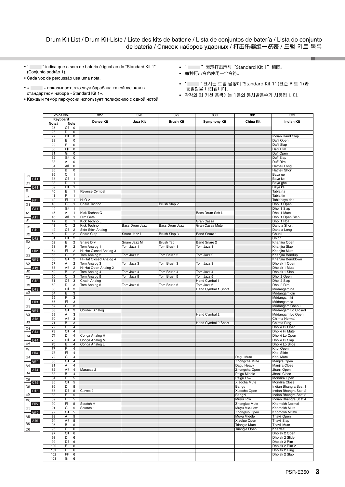Drum Kit List / Drum Kit-Liste / Liste des kits de batterie / Lista de conjuntos de batería / Lista do conjunto de bateria / Список наборов ударных / 打击乐器组一览表 / 드럼 키트 목록

- " " indica que o som de bateria é igual ao do "Standard Kit 1" (Conjunto padrão 1).
- Cada voz de percussão usa uma nota.
- « » показывает, что звук барабана такой же, как в стандартном наборе «Standard Kit 1».
- Каждый тембр перкуссии использует полифонию с одной нотой.
- **•** " "表示打击声与"Standard Kit 1"相同。
- **•** 每种打击音色使用一个音符。
- **•** " " 표시는 드럼 음향이 "Standard Kit 1" (표준 키트 1)과 동일함을 나타냅니다.
- **•** 각각의 퍼 커션 음색에는 1음의 동시발음수가 사용됩 니다.

|                          | Voice No.<br>Keyboard |         |                              | 327                                  | 328             | 329              | 330                 | 331                         | 332                                |
|--------------------------|-----------------------|---------|------------------------------|--------------------------------------|-----------------|------------------|---------------------|-----------------------------|------------------------------------|
|                          |                       |         |                              |                                      |                 |                  |                     |                             |                                    |
|                          | Note#                 | Note    |                              | <b>Dance Kit</b>                     | <b>Jazz Kit</b> | <b>Brush Kit</b> | <b>Symphony Kit</b> | <b>China Kit</b>            | <b>Indian Kit</b>                  |
|                          | 25                    | C#      | 0                            |                                      |                 |                  |                     |                             |                                    |
|                          | 26                    | D       | 0                            |                                      |                 |                  |                     |                             |                                    |
|                          | 27                    | D#      | 0                            |                                      |                 |                  |                     |                             | Indian Hand Clap                   |
|                          | 28                    | Ε       | 0                            |                                      |                 |                  |                     |                             | Dafli Open                         |
|                          | 29                    | F       | 0                            |                                      |                 |                  |                     |                             | Dafli Slap                         |
|                          | 30<br>31              | F#<br>G | 0<br>0                       |                                      |                 |                  |                     |                             | Dafli Rim<br>Duff Open             |
|                          | 32                    | G#      | 0                            |                                      |                 |                  |                     |                             | Duff Slap                          |
|                          | 33                    | А       | 0                            |                                      |                 |                  |                     |                             | Duff Rim                           |
|                          | 34                    | A#      | 0                            |                                      |                 |                  |                     |                             | Hatheli Long                       |
|                          | 35                    | B       | 0                            |                                      |                 |                  |                     |                             | Hatheli Short                      |
|                          | 36                    | C       | 1                            |                                      |                 |                  |                     |                             | Baya ge                            |
| C <sub>1</sub><br>C#1    | 37                    | C#      | 1                            |                                      |                 |                  |                     |                             | Baya ke                            |
| D1                       | 38                    | D       | 1                            |                                      |                 |                  |                     |                             | Baya ghe                           |
| D#1                      | 39                    | D#      | $\mathbf{1}$                 |                                      |                 |                  |                     |                             | Baya ka                            |
| E1                       | 40                    | Ε       | 1                            | Reverse Cymbal                       |                 |                  |                     |                             | Tabla na                           |
| F1                       | 41                    | F       | 1                            |                                      |                 |                  |                     |                             | Tabla tin                          |
| F#1                      | 42                    | F#      | $\mathbf{1}$<br>$\mathbf{1}$ | Hi Q 2                               |                 |                  |                     |                             | Tablabaya dha                      |
| G1                       | 43<br>44              | G<br>G# | $\mathbf{1}$                 | Snare Techno                         |                 | Brush Slap 2     |                     |                             | Dhol 1 Open<br>Dhol 1 Slap         |
| G#1                      | 45                    | Α       | 1                            | Kick Techno Q                        |                 |                  | Bass Drum Soft L    |                             | Dhol 1 Mute                        |
| Α1<br>A#1                | 46                    | A#      | 1                            | <b>Rim Gate</b>                      |                 |                  |                     |                             | Dhol 1 Open Slap                   |
| <b>B1</b>                | 47                    | В       | 1                            | Kick Techno L                        |                 |                  | Gran Cassa          |                             | Dhol 1 Roll                        |
|                          | 48                    | C       | 2                            | Kick Techno                          | Bass Drum Jazz  | Bass Drum Jazz   | Gran Cassa Mute     |                             | Dandia Short                       |
| C <sub>2</sub><br>C#2    | 49                    | C#      | $\sqrt{2}$                   | Side Stick Analog                    |                 |                  |                     |                             | Dandia Long                        |
| D <sub>2</sub>           | 50                    | D       | $\overline{\mathbf{c}}$      | Snare Clap                           | Snare Jazz L    | Brush Slap 3     | Band Snare 1        |                             | Chutki                             |
| D#2                      | 51                    | D#      | $\overline{c}$               |                                      |                 |                  |                     |                             | Chipri                             |
| E2                       | 52                    | Ε       | $\boldsymbol{2}$             | Snare Dry                            | Snare Jazz M    | <b>Brush Tap</b> | Band Snare 2        |                             | Khanjira Open                      |
| F <sub>2</sub>           | 53                    | F       | 2                            | Tom Analog 1                         | Tom Jazz 1      | Tom Brush 1      | Tom Jazz 1          |                             | Khanjira Slap                      |
| F#2                      | 54                    | F#      | $\sqrt{2}$                   | Hi-Hat Closed Analog 3               |                 |                  |                     |                             | Khanjira Mute                      |
| G <sub>2</sub>           | 55                    | G       | 2                            | Tom Analog 2                         | Tom Jazz 2      | Tom Brush 2      | Tom Jazz 2          |                             | Khanjira Bendup                    |
| G#2                      | 56<br>57              | G#<br>А | $\overline{c}$<br>2          | Hi-Hat Closed Analog 4               | Tom Jazz 3      | Tom Brush 3      | Tom Jazz 3          |                             | Khanjira Benddown<br>Dholak 1 Open |
| A2<br>A#2                | 58                    | A#      | $\overline{\mathbf{c}}$      | Tom Analog 3<br>Hi-Hat Open Analog 2 |                 |                  |                     |                             | Dholak 1 Mute                      |
| $\overline{B2}$          | 59                    | B       | $\boldsymbol{2}$             | Tom Analog 4                         | Tom Jazz 4      | Tom Brush 4      | Tom Jazz 4          |                             | Dholak 1 Slap                      |
|                          | 60                    | C       | 3                            | Tom Analog 5                         | Tom Jazz 5      | Tom Brush 5      | Tom Jazz 5          |                             | Dhol 2 Open                        |
| C <sub>3</sub><br>C#3    | 61                    | C#      | 3                            | Crash Analog                         |                 |                  | Hand Cymbal 1       |                             | Dhol 2 Slap                        |
| D <sub>3</sub>           | 62                    | D       | 3                            | Tom Analog 6                         | Tom Jazz 6      | Tom Brush 6      | Tom Jazz 6          |                             | Dhol 2 Rim                         |
| D#3                      | 63                    | D#      | 3                            |                                      |                 |                  | Hand Cymbal 1 Short |                             | Mridangam na                       |
| E3                       | 64                    | Ε       | 3                            |                                      |                 |                  |                     |                             | Mridangam din                      |
| F3                       | 65                    | F       | 3                            |                                      |                 |                  |                     |                             | Mridangam ki                       |
| F#3                      | 66                    | F#      | 3                            |                                      |                 |                  |                     |                             | Mridangam ta                       |
| G <sub>3</sub>           | 67                    | G       | 3                            |                                      |                 |                  |                     |                             | Mridangam Chapu                    |
| G#3                      | 68<br>69              | G#<br>А | 3<br>3                       | Cowbell Analog                       |                 |                  | Hand Cymbal 2       |                             | Mridangam Lo Closed                |
| A3                       | 70                    | A#      | 3                            |                                      |                 |                  |                     |                             | Mridangam Lo Open<br>Chimta Normal |
| A#3<br>B <sub>3</sub>    | 71                    | В       | 3                            |                                      |                 |                  | Hand Cymbal 2 Short |                             | Chimta Ring                        |
|                          | 72                    | С       | 4                            |                                      |                 |                  |                     |                             | Dholki Hi Open                     |
| $\frac{C4}{1}$<br>C#4    | 73                    | C#      | 4                            |                                      |                 |                  |                     |                             | Dholki Hi Mute                     |
| D <sub>4</sub>           | 74                    | D       | 4                            | Conga Analog H                       |                 |                  |                     |                             | Dholki Lo Open                     |
| D#4                      | 75                    | D#      | 4                            | Conga Analog M                       |                 |                  |                     |                             | Dholki Hi Slap                     |
| E4                       | 76                    | Ε       | 4                            | Conga Analog L                       |                 |                  |                     |                             | Dholki Lo Slide                    |
| F4                       | 77                    | F       | 4                            |                                      |                 |                  |                     |                             | Khol Open                          |
| F#4                      | 78                    | F‡      | $\overline{4}$               |                                      |                 |                  |                     |                             | Khol Slide                         |
| G4                       | 79                    | G       | 4                            |                                      |                 |                  |                     | Dagu Mute                   | <b>Khol Mute</b>                   |
| G#4                      | 80<br>81              | G#<br>А | 4<br>4                       |                                      |                 |                  |                     | Zhongcha Mute               | Manjira Open                       |
| A4<br>A#4                | 82                    | A#      | $\overline{4}$               | Maracas 2                            |                 |                  |                     | Dagu Heavy<br>Zhongcha Open | Manjira Close<br>Jhanji Open       |
| $\overline{B4}$          | 83                    | В       | 4                            |                                      |                 |                  |                     | Paigu Middle                | Jhanji Close                       |
|                          | 84                    | C       | 5                            |                                      |                 |                  |                     | Paigu Low                   | Mondira Open                       |
| $\frac{C5}{C\#5}$        | 85                    | C#      | 5                            |                                      |                 |                  |                     | Xiaocha Mute                | Mondira Close                      |
| D <sub>5</sub>           | 86                    | D       | 5                            |                                      |                 |                  |                     | Bangu                       | Indian Bhangra Scat 1              |
| E <sub>5</sub><br>$-D#5$ | 87                    | D#      | 5                            | Claves <sub>2</sub>                  |                 |                  |                     | Xiaocha Open                | Indian Bhangra Scat 2              |
|                          | 88                    | Ε       | 5                            |                                      |                 |                  |                     | Bangzi                      | Indian Bhangra Scat 3              |
|                          | 89                    | F       | 5                            |                                      |                 |                  |                     | Muyu Low                    | Indian Bhangra Scat 4              |
| $rac{F5}{4}$<br>$-F#5$   | 90                    | F#      | 5                            | Scratch H                            |                 |                  |                     | Zhongluo Mute               | Khomokh Normal                     |
| G <sub>5</sub>           | 91                    | G       | 5                            | Scratch L                            |                 |                  |                     | Muyu Mid-Low                | Khomokh Mute                       |
| G#5                      | 92                    | G#      | 5                            |                                      |                 |                  |                     | Zhongluo Open               | Khomokh Mitatk                     |
| A <sub>5</sub>           | 93<br>94              | Α<br>A# | 5<br>5                       |                                      |                 |                  |                     | Muyu Middle<br>Xiaoluo Open | Thavil Open<br><b>Thavil Slap</b>  |
| A#5<br>$\overline{B5}$   | 95                    | B       | 5                            |                                      |                 |                  |                     | <b>Triangle Mute</b>        | <b>Thavil Mute</b>                 |
| $\overline{C6}$          | 96                    | C       | 6                            |                                      |                 |                  |                     | <b>Triangle Open</b>        | Khartaal                           |
|                          | 97                    | C#      | 6                            |                                      |                 |                  |                     |                             | Dholak 2 Open                      |
|                          | 98                    | D       | 6                            |                                      |                 |                  |                     |                             | Dholak 2 Slide                     |
|                          | 99                    | D#      | 6                            |                                      |                 |                  |                     |                             | Dholak 2 Rim 1                     |
|                          | 100                   | Ε       | 6                            |                                      |                 |                  |                     |                             | Dholak 2 Rim 2                     |
|                          | 101                   | F       | 6                            |                                      |                 |                  |                     |                             | Dholak 2 Ring                      |
|                          | 102                   | F#      | 6                            |                                      |                 |                  |                     |                             | Dholak 2 Slap                      |
|                          | 103                   | G       | $6\overline{6}$              |                                      |                 |                  |                     |                             |                                    |